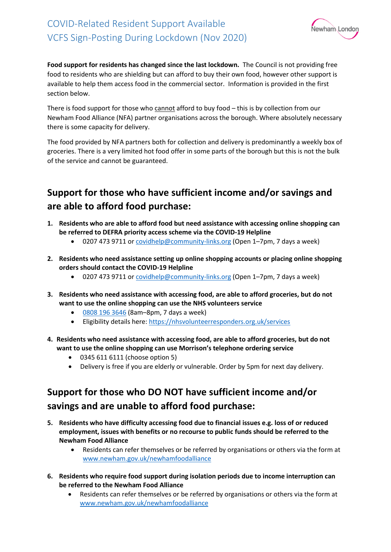

**Food support for residents has changed since the last lockdown.** The Council is not providing free food to residents who are shielding but can afford to buy their own food, however other support is available to help them access food in the commercial sector. Information is provided in the first section below.

There is food support for those who cannot afford to buy food – this is by collection from our Newham Food Alliance (NFA) partner organisations across the borough. Where absolutely necessary there is some capacity for delivery.

The food provided by NFA partners both for collection and delivery is predominantly a weekly box of groceries. There is a very limited hot food offer in some parts of the borough but this is not the bulk of the service and cannot be guaranteed.

## **Support for those who have sufficient income and/or savings and are able to afford food purchase:**

- **1. Residents who are able to afford food but need assistance with accessing online shopping can be referred to DEFRA priority access scheme via the COVID-19 Helpline**
	- 0207 473 9711 or [covidhelp@community-links.org](mailto:covidhelp@community-links.org) (Open 1-7pm, 7 days a week)
- **2. Residents who need assistance setting up online shopping accounts or placing online shopping orders should contact the COVID-19 Helpline**
	- 0207 473 9711 or [covidhelp@community-links.org](mailto:covidhelp@community-links.org) (Open 1-7pm, 7 days a week)
- **3. Residents who need assistance with accessing food, are able to afford groceries, but do not want to use the online shopping can use the NHS volunteers service**
	- [0808 196 3646](tel:08081963646) (8am–8pm, 7 days a week)
	- Eligibility details here[: https://nhsvolunteerresponders.org.uk/services](https://nhsvolunteerresponders.org.uk/services)
- **4. Residents who need assistance with accessing food, are able to afford groceries, but do not want to use the online shopping can use Morrison's telephone ordering service**
	- 0345 611 6111 (choose option 5)
	- Delivery is free if you are elderly or vulnerable. Order by 5pm for next day delivery.

## **Support for those who DO NOT have sufficient income and/or savings and are unable to afford food purchase:**

- **5. Residents who have difficulty accessing food due to financial issues e.g. loss of or reduced employment, issues with benefits or no recourse to public funds should be referred to the Newham Food Alliance**
	- Residents can refer themselves or be referred by organisations or others via the form at [www.newham.gov.uk/newhamfoodalliance](http://www.newham.gov.uk/newhamfoodalliance)
- **6. Residents who require food support during isolation periods due to income interruption can be referred to the Newham Food Alliance**
	- Residents can refer themselves or be referred by organisations or others via the form at [www.newham.gov.uk/newhamfoodalliance](http://www.newham.gov.uk/newhamfoodalliance)